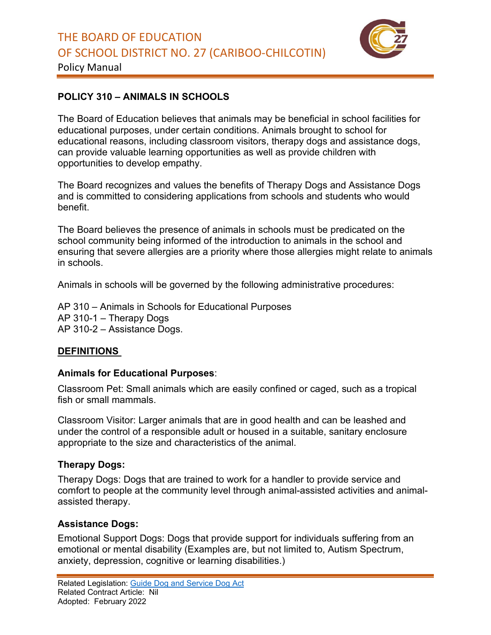

Policy Manual

# **POLICY 310 – ANIMALS IN SCHOOLS**

The Board of Education believes that animals may be beneficial in school facilities for educational purposes, under certain conditions. Animals brought to school for educational reasons, including classroom visitors, therapy dogs and assistance dogs, can provide valuable learning opportunities as well as provide children with opportunities to develop empathy.

The Board recognizes and values the benefits of Therapy Dogs and Assistance Dogs and is committed to considering applications from schools and students who would benefit.

The Board believes the presence of animals in schools must be predicated on the school community being informed of the introduction to animals in the school and ensuring that severe allergies are a priority where those allergies might relate to animals in schools.

Animals in schools will be governed by the following administrative procedures:

AP 310 – Animals in Schools for Educational Purposes AP 310-1 – Therapy Dogs AP 310-2 – Assistance Dogs.

## **DEFINITIONS**

## **Animals for Educational Purposes**:

Classroom Pet: Small animals which are easily confined or caged, such as a tropical fish or small mammals.

Classroom Visitor: Larger animals that are in good health and can be leashed and under the control of a responsible adult or housed in a suitable, sanitary enclosure appropriate to the size and characteristics of the animal.

## **Therapy Dogs:**

Therapy Dogs: Dogs that are trained to work for a handler to provide service and comfort to people at the community level through animal-assisted activities and animalassisted therapy.

## **Assistance Dogs:**

Emotional Support Dogs: Dogs that provide support for individuals suffering from an emotional or mental disability (Examples are, but not limited to, Autism Spectrum, anxiety, depression, cognitive or learning disabilities.)